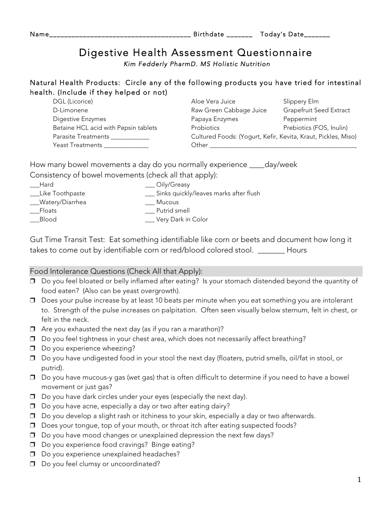| Name |                 | _<br>1 A V |
|------|-----------------|------------|
|      | $- -$<br>______ | __________ |

## Digestive Health Assessment Questionnaire

 *Kim Fedderly PharmD. MS Holistic Nutrition* 

## Natural Health Products: Circle any of the following products you have tried for intestinal health. (Include if they helped or not)

| Aloe Vera Juice         | Slippery Elm                                                  |
|-------------------------|---------------------------------------------------------------|
| Raw Green Cabbage Juice | Grapefruit Seed Extract                                       |
| Papaya Enzymes          | Peppermint                                                    |
| <b>Probiotics</b>       | Prebiotics (FOS, Inulin)                                      |
|                         |                                                               |
| Other                   |                                                               |
|                         | Cultured Foods: (Yogurt, Kefir, Kevita, Kraut, Pickles, Miso) |

How many bowel movements a day do you normally experience \_\_\_\_day/week Consistency of bowel movements (check all that apply):

\_\_\_Hard \_\_\_ Oily/Greasy \_\_\_Like Toothpaste \_\_\_ Sinks quickly/leaves marks after flush Watery/Diarrhea **Mucous** \_\_\_Floats \_\_\_ Putrid smell \_\_\_Blood \_\_\_ Very Dark in Color

Gut Time Transit Test: Eat something identifiable like corn or beets and document how long it takes to come out by identifiable corn or red/blood colored stool. \_\_\_\_\_\_\_ Hours

## Food Intolerance Questions (Check All that Apply):

- ❒ Do you feel bloated or belly inflamed after eating? Is your stomach distended beyond the quantity of food eaten? (Also can be yeast overgrowth).
- ❒ Does your pulse increase by at least 10 beats per minute when you eat something you are intolerant to. Strength of the pulse increases on palpitation. Often seen visually below sternum, felt in chest, or felt in the neck.
- ❒ Are you exhausted the next day (as if you ran a marathon)?
- ❒ Do you feel tightness in your chest area, which does not necessarily affect breathing?
- ❒ Do you experience wheezing?
- ❒ Do you have undigested food in your stool the next day (floaters, putrid smells, oil/fat in stool, or putrid).
- ❒ Do you have mucous-y gas (wet gas) that is often difficult to determine if you need to have a bowel movement or just gas?
- ❒ Do you have dark circles under your eyes (especially the next day).
- ❒ Do you have acne, especially a day or two after eating dairy?
- ❒ Do you develop a slight rash or itchiness to your skin, especially a day or two afterwards.
- ❒ Does your tongue, top of your mouth, or throat itch after eating suspected foods?
- ❒ Do you have mood changes or unexplained depression the next few days?
- ❒ Do you experience food cravings? Binge eating?
- ❒ Do you experience unexplained headaches?
- ❒ Do you feel clumsy or uncoordinated?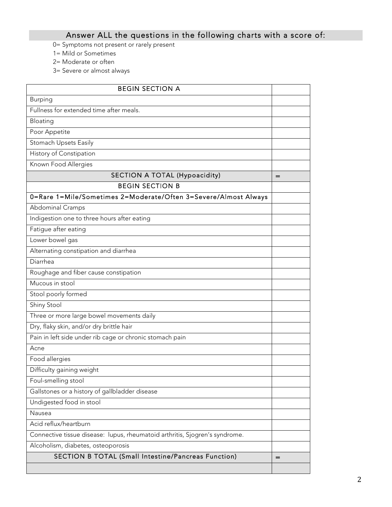## Answer ALL the questions in the following charts with a score of:

- 0= Symptoms not present or rarely present
- 1= Mild or Sometimes
- 2= Moderate or often
- 3= Severe or almost always

| <b>BEGIN SECTION A</b>                                                      |     |
|-----------------------------------------------------------------------------|-----|
| <b>Burping</b>                                                              |     |
| Fullness for extended time after meals.                                     |     |
| Bloating                                                                    |     |
| Poor Appetite                                                               |     |
| Stomach Upsets Easily                                                       |     |
| History of Constipation                                                     |     |
| Known Food Allergies                                                        |     |
| <b>SECTION A TOTAL (Hypoacidity)</b>                                        | $=$ |
| <b>BEGIN SECTION B</b>                                                      |     |
| 0=Rare 1=Mile/Sometimes 2=Moderate/Often 3=Severe/Almost Always             |     |
| Abdominal Cramps                                                            |     |
| Indigestion one to three hours after eating                                 |     |
| Fatigue after eating                                                        |     |
| Lower bowel gas                                                             |     |
| Alternating constipation and diarrhea                                       |     |
| Diarrhea                                                                    |     |
| Roughage and fiber cause constipation                                       |     |
| Mucous in stool                                                             |     |
| Stool poorly formed                                                         |     |
| Shiny Stool                                                                 |     |
| Three or more large bowel movements daily                                   |     |
| Dry, flaky skin, and/or dry brittle hair                                    |     |
| Pain in left side under rib cage or chronic stomach pain                    |     |
| Acne                                                                        |     |
| Food allergies                                                              |     |
| Difficulty gaining weight                                                   |     |
| Foul-smelling stool                                                         |     |
| Gallstones or a history of gallbladder disease                              |     |
| Undigested food in stool                                                    |     |
| Nausea                                                                      |     |
| Acid reflux/heartburn                                                       |     |
| Connective tissue disease: lupus, rheumatoid arthritis, Sjogren's syndrome. |     |
| Alcoholism, diabetes, osteoporosis                                          |     |
| SECTION B TOTAL (Small Intestine/Pancreas Function)                         | $=$ |
|                                                                             |     |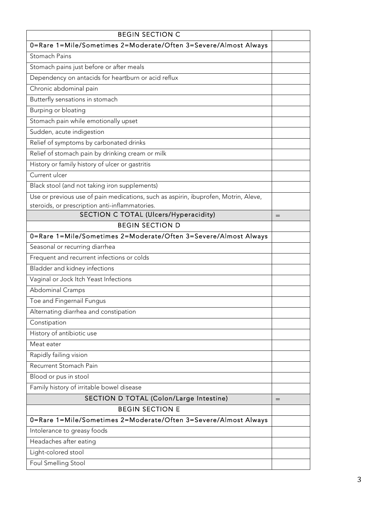| <b>BEGIN SECTION C</b>                                                              |     |
|-------------------------------------------------------------------------------------|-----|
| 0=Rare 1=Mile/Sometimes 2=Moderate/Often 3=Severe/Almost Always                     |     |
| Stomach Pains                                                                       |     |
| Stomach pains just before or after meals                                            |     |
| Dependency on antacids for heartburn or acid reflux                                 |     |
| Chronic abdominal pain                                                              |     |
| Butterfly sensations in stomach                                                     |     |
| Burping or bloating                                                                 |     |
| Stomach pain while emotionally upset                                                |     |
| Sudden, acute indigestion                                                           |     |
| Relief of symptoms by carbonated drinks                                             |     |
| Relief of stomach pain by drinking cream or milk                                    |     |
| History or family history of ulcer or gastritis                                     |     |
| Current ulcer                                                                       |     |
| Black stool (and not taking iron supplements)                                       |     |
| Use or previous use of pain medications, such as aspirin, ibuprofen, Motrin, Aleve, |     |
| steroids, or prescription anti-inflammatories.                                      |     |
| SECTION C TOTAL (Ulcers/Hyperacidity)                                               | $=$ |
| <b>BEGIN SECTION D</b>                                                              |     |
| 0=Rare 1=Mile/Sometimes 2=Moderate/Often 3=Severe/Almost Always                     |     |
| Seasonal or recurring diarrhea                                                      |     |
| Frequent and recurrent infections or colds                                          |     |
| Bladder and kidney infections                                                       |     |
| Vaginal or Jock Itch Yeast Infections                                               |     |
| Abdominal Cramps                                                                    |     |
| Toe and Fingernail Fungus<br>Alternating diarrhea and constipation                  |     |
|                                                                                     |     |
| Constipation<br>History of antibiotic use                                           |     |
| Meat eater                                                                          |     |
| Rapidly failing vision                                                              |     |
| Recurrent Stomach Pain                                                              |     |
| Blood or pus in stool                                                               |     |
| Family history of irritable bowel disease                                           |     |
| SECTION D TOTAL (Colon/Large Intestine)                                             |     |
| <b>BEGIN SECTION E</b>                                                              | $=$ |
| 0=Rare 1=Mile/Sometimes 2=Moderate/Often 3=Severe/Almost Always                     |     |
| Intolerance to greasy foods                                                         |     |
| Headaches after eating                                                              |     |
| Light-colored stool                                                                 |     |
| Foul Smelling Stool                                                                 |     |
|                                                                                     |     |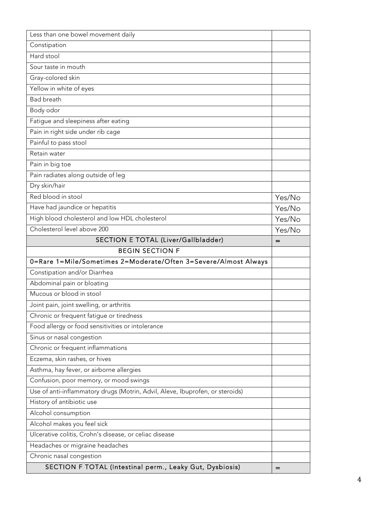| Less than one bowel movement daily                                            |        |
|-------------------------------------------------------------------------------|--------|
| Constipation                                                                  |        |
| Hard stool                                                                    |        |
| Sour taste in mouth                                                           |        |
| Gray-colored skin                                                             |        |
| Yellow in white of eyes                                                       |        |
| <b>Bad breath</b>                                                             |        |
| Body odor                                                                     |        |
| Fatigue and sleepiness after eating                                           |        |
| Pain in right side under rib cage                                             |        |
| Painful to pass stool                                                         |        |
| Retain water                                                                  |        |
| Pain in big toe                                                               |        |
| Pain radiates along outside of leg                                            |        |
| Dry skin/hair                                                                 |        |
| Red blood in stool                                                            | Yes/No |
| Have had jaundice or hepatitis                                                | Yes/No |
| High blood cholesterol and low HDL cholesterol                                | Yes/No |
| Cholesterol level above 200                                                   | Yes/No |
| SECTION E TOTAL (Liver/Gallbladder)                                           | $=$    |
| <b>BEGIN SECTION F</b>                                                        |        |
| 0=Rare 1=Mile/Sometimes 2=Moderate/Often 3=Severe/Almost Always               |        |
| Constipation and/or Diarrhea                                                  |        |
| Abdominal pain or bloating                                                    |        |
| Mucous or blood in stool                                                      |        |
| Joint pain, joint swelling, or arthritis                                      |        |
| Chronic or frequent fatigue or tiredness                                      |        |
| Food allergy or food sensitivities or intolerance                             |        |
| Sinus or nasal congestion                                                     |        |
| Chronic or frequent inflammations                                             |        |
| Eczema, skin rashes, or hives                                                 |        |
|                                                                               |        |
| Asthma, hay fever, or airborne allergies                                      |        |
| Confusion, poor memory, or mood swings                                        |        |
| Use of anti-inflammatory drugs (Motrin, Advil, Aleve, Ibuprofen, or steroids) |        |
| History of antibiotic use                                                     |        |
| Alcohol consumption                                                           |        |
| Alcohol makes you feel sick                                                   |        |
| Ulcerative colitis, Crohn's disease, or celiac disease                        |        |
| Headaches or migraine headaches                                               |        |
| Chronic nasal congestion                                                      |        |
| SECTION F TOTAL (Intestinal perm., Leaky Gut, Dysbiosis)                      | $=$    |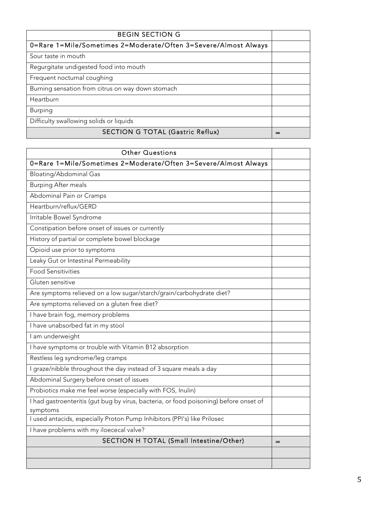| <b>BEGIN SECTION G</b>                                          |  |
|-----------------------------------------------------------------|--|
| 0=Rare 1=Mile/Sometimes 2=Moderate/Often 3=Severe/Almost Always |  |
| Sour taste in mouth                                             |  |
| Regurgitate undigested food into mouth                          |  |
| Frequent nocturnal coughing                                     |  |
| Burning sensation from citrus on way down stomach               |  |
| Heartburn                                                       |  |
| <b>Burping</b>                                                  |  |
| Difficulty swallowing solids or liquids                         |  |
| <b>SECTION G TOTAL (Gastric Reflux)</b>                         |  |

| <b>Other Questions</b>                                                                            |  |
|---------------------------------------------------------------------------------------------------|--|
| 0=Rare 1=Mile/Sometimes 2=Moderate/Often 3=Severe/Almost Always                                   |  |
| Bloating/Abdominal Gas                                                                            |  |
| <b>Burping After meals</b>                                                                        |  |
| Abdominal Pain or Cramps                                                                          |  |
| Heartburn/reflux/GERD                                                                             |  |
| Irritable Bowel Syndrome                                                                          |  |
| Constipation before onset of issues or currently                                                  |  |
| History of partial or complete bowel blockage                                                     |  |
| Opioid use prior to symptoms                                                                      |  |
| Leaky Gut or Intestinal Permeability                                                              |  |
| <b>Food Sensitivities</b>                                                                         |  |
| Gluten sensitive                                                                                  |  |
| Are symptoms relieved on a low sugar/starch/grain/carbohydrate diet?                              |  |
| Are symptoms relieved on a gluten free diet?                                                      |  |
| I have brain fog, memory problems                                                                 |  |
| I have unabsorbed fat in my stool                                                                 |  |
| I am underweight                                                                                  |  |
| I have symptoms or trouble with Vitamin B12 absorption                                            |  |
| Restless leg syndrome/leg cramps                                                                  |  |
| I graze/nibble throughout the day instead of 3 square meals a day                                 |  |
| Abdominal Surgery before onset of issues                                                          |  |
| Probiotics make me feel worse (especially with FOS, Inulin)                                       |  |
| I had gastroenteritis (gut bug by virus, bacteria, or food poisoning) before onset of<br>symptoms |  |
| I used antacids, especially Proton Pump Inhibitors (PPI's) like Prilosec                          |  |
| I have problems with my iloececal valve?                                                          |  |
| SECTION H TOTAL (Small Intestine/Other)                                                           |  |
|                                                                                                   |  |
|                                                                                                   |  |